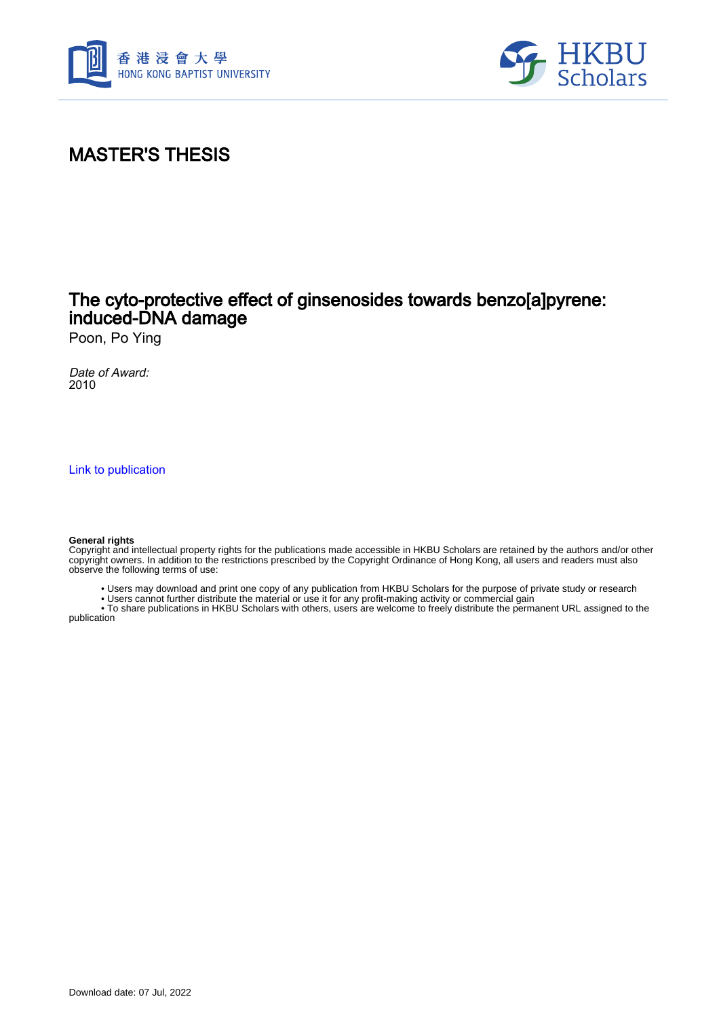



## MASTER'S THESIS

### The cyto-protective effect of ginsenosides towards benzo[a]pyrene: induced-DNA damage

Poon, Po Ying

Date of Award: 2010

[Link to publication](https://scholars.hkbu.edu.hk/en/studentTheses/1bf641b2-f550-4f86-b9ab-f25c9ff7d533)

#### **General rights**

Copyright and intellectual property rights for the publications made accessible in HKBU Scholars are retained by the authors and/or other copyright owners. In addition to the restrictions prescribed by the Copyright Ordinance of Hong Kong, all users and readers must also observe the following terms of use:

- Users may download and print one copy of any publication from HKBU Scholars for the purpose of private study or research
- Users cannot further distribute the material or use it for any profit-making activity or commercial gain

 • To share publications in HKBU Scholars with others, users are welcome to freely distribute the permanent URL assigned to the publication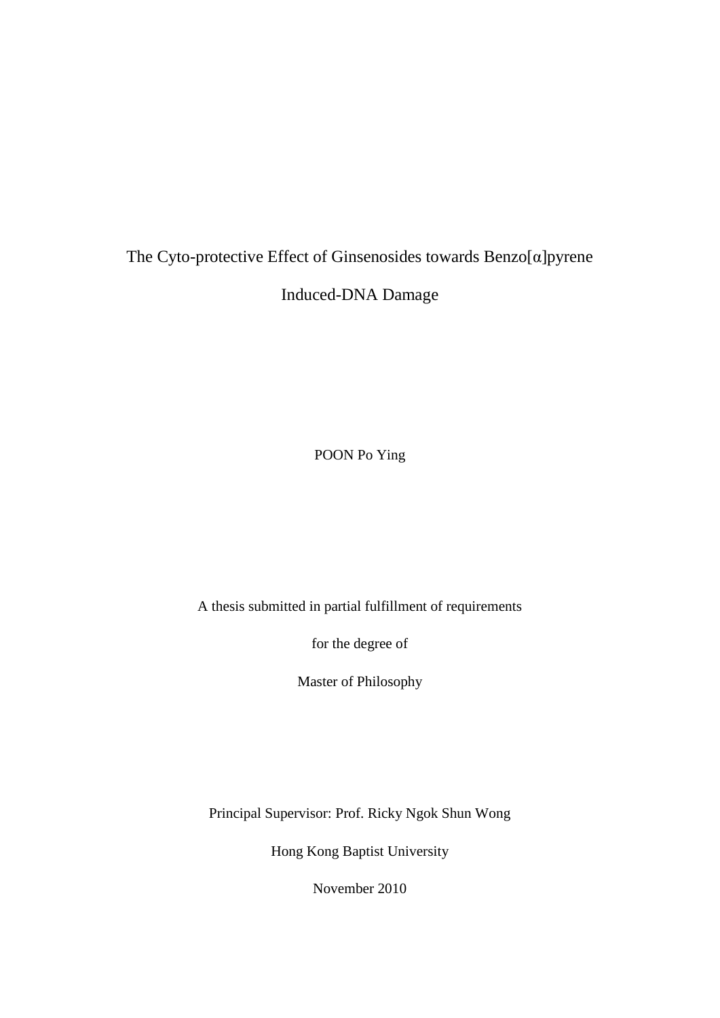# The Cyto-protective Effect of Ginsenosides towards Benzo[α]pyrene Induced-DNA Damage

POON Po Ying

A thesis submitted in partial fulfillment of requirements

for the degree of

Master of Philosophy

Principal Supervisor: Prof. Ricky Ngok Shun Wong

Hong Kong Baptist University

November 2010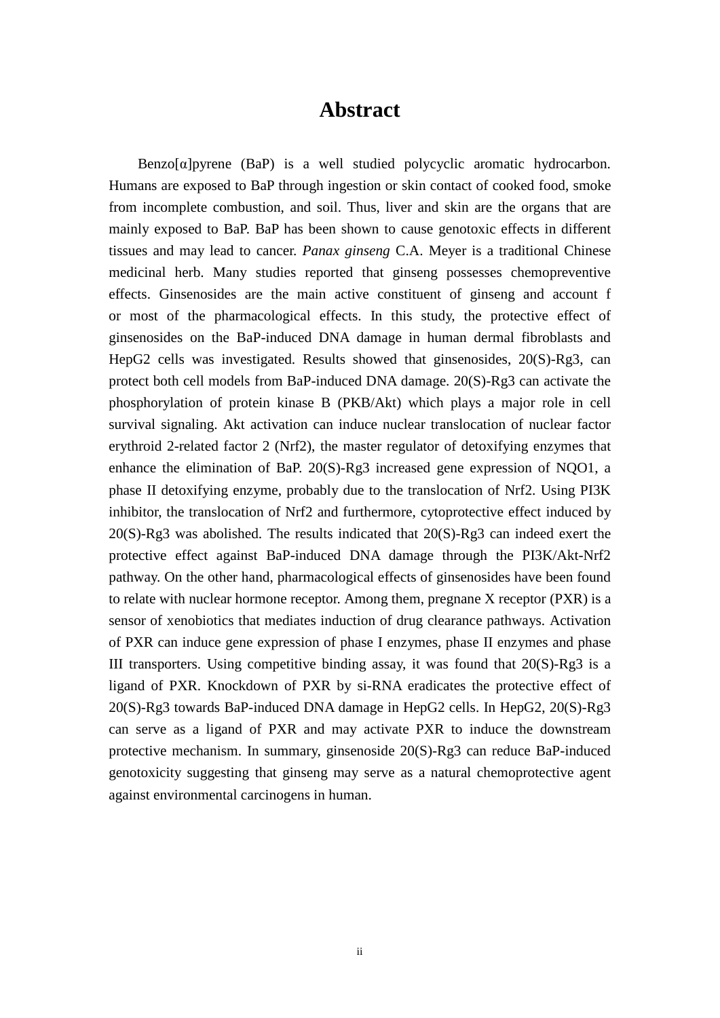### **Abstract**

 $Benzo[\alpha]$  pyrene  $(BaP)$  is a well studied polycyclic aromatic hydrocarbon. Humans are exposed to BaP through ingestion or skin contact of cooked food, smoke from incomplete combustion, and soil. Thus, liver and skin are the organs that are mainly exposed to BaP. BaP has been shown to cause genotoxic effects in different tissues and may lead to cancer. *Panax ginseng* C.A. Meyer is a traditional Chinese medicinal herb. Many studies reported that ginseng possesses chemopreventive effects. Ginsenosides are the main active constituent of ginseng and account f or most of the pharmacological effects. In this study, the protective effect of ginsenosides on the BaP-induced DNA damage in human dermal fibroblasts and HepG2 cells was investigated. Results showed that ginsenosides, 20(S)-Rg3, can protect both cell models from BaP-induced DNA damage. 20(S)-Rg3 can activate the phosphorylation of protein kinase B (PKB/Akt) which plays a major role in cell survival signaling. Akt activation can induce nuclear translocation of nuclear factor erythroid 2-related factor 2 (Nrf2), the master regulator of detoxifying enzymes that enhance the elimination of BaP. 20(S)-Rg3 increased gene expression of NQO1, a phase II detoxifying enzyme, probably due to the translocation of Nrf2. Using PI3K inhibitor, the translocation of Nrf2 and furthermore, cytoprotective effect induced by 20(S)-Rg3 was abolished. The results indicated that 20(S)-Rg3 can indeed exert the protective effect against BaP-induced DNA damage through the PI3K/Akt-Nrf2 pathway. On the other hand, pharmacological effects of ginsenosides have been found to relate with nuclear hormone receptor. Among them, pregnane X receptor (PXR) is a sensor of xenobiotics that mediates induction of drug clearance pathways. Activation of PXR can induce gene expression of phase I enzymes, phase II enzymes and phase III transporters. Using competitive binding assay, it was found that  $20(S)$ -Rg3 is a ligand of PXR. Knockdown of PXR by si-RNA eradicates the protective effect of 20(S)-Rg3 towards BaP-induced DNA damage in HepG2 cells. In HepG2, 20(S)-Rg3 can serve as a ligand of PXR and may activate PXR to induce the downstream protective mechanism. In summary, ginsenoside 20(S)-Rg3 can reduce BaP-induced genotoxicity suggesting that ginseng may serve as a natural chemoprotective agent against environmental carcinogens in human.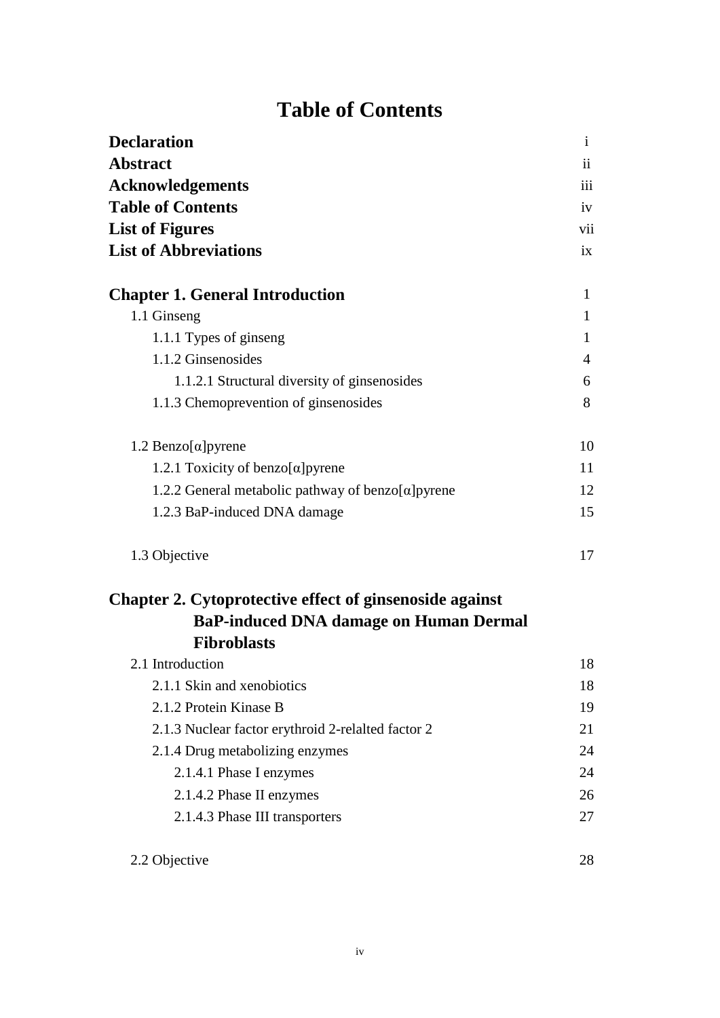## **Table of Contents**

| <b>Declaration</b>                                             | $\mathbf{i}$   |
|----------------------------------------------------------------|----------------|
| <b>Abstract</b>                                                | ii             |
| <b>Acknowledgements</b>                                        | iii            |
| <b>Table of Contents</b><br><b>List of Figures</b>             | iv<br>vii      |
|                                                                |                |
| <b>Chapter 1. General Introduction</b>                         | $\mathbf{1}$   |
| 1.1 Ginseng                                                    | 1              |
| 1.1.1 Types of ginseng                                         | 1              |
| 1.1.2 Ginsenosides                                             | $\overline{4}$ |
| 1.1.2.1 Structural diversity of ginsenosides                   | 6              |
| 1.1.3 Chemoprevention of ginsenosides                          | 8              |
| 1.2 Benzo[α]pyrene                                             | 10             |
| 1.2.1 Toxicity of benzo $\alpha$ ] pyrene                      | 11             |
| 1.2.2 General metabolic pathway of benzo $\alpha$ pyrene       | 12             |
| 1.2.3 BaP-induced DNA damage                                   | 15             |
| 1.3 Objective                                                  | 17             |
| <b>Chapter 2. Cytoprotective effect of ginsenoside against</b> |                |
| <b>BaP-induced DNA damage on Human Dermal</b>                  |                |
| <b>Fibroblasts</b>                                             |                |
| 2.1 Introduction                                               | 18             |
| 2.1.1 Skin and xenobiotics                                     | 18             |
| 2.1.2 Protein Kinase B                                         | 19             |
| 2.1.3 Nuclear factor erythroid 2-relaited factor 2             | 21             |
| 2.1.4 Drug metabolizing enzymes                                | 24             |
| 2.1.4.1 Phase I enzymes                                        | 24             |
| 2.1.4.2 Phase II enzymes                                       | 26             |
| 2.1.4.3 Phase III transporters                                 | 27             |
| 2.2 Objective                                                  | 28             |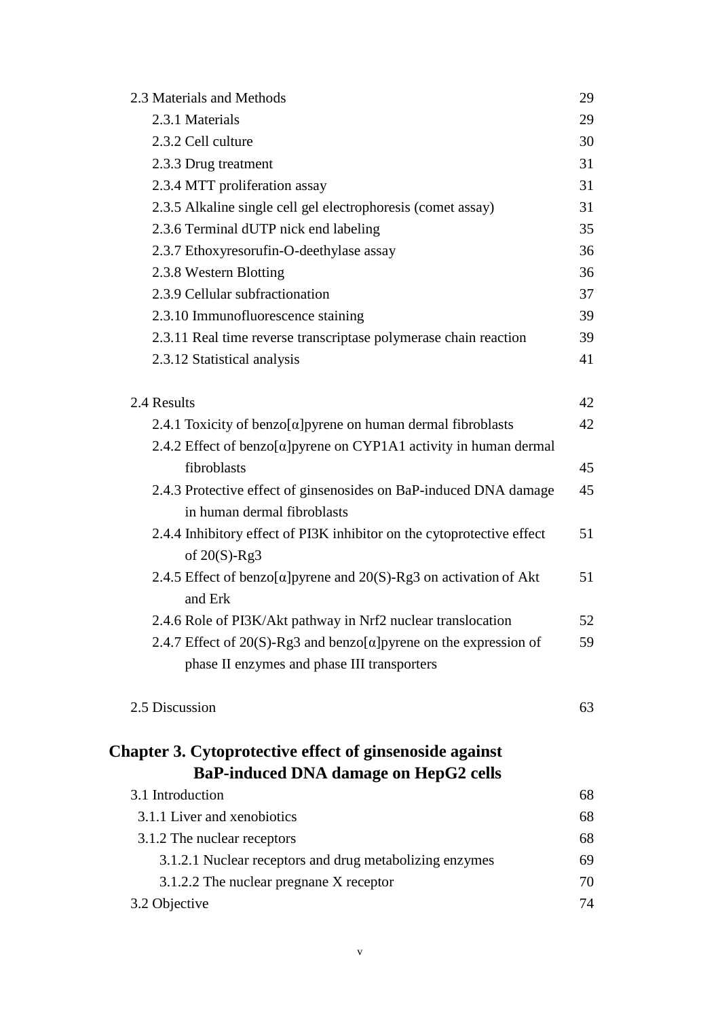| 2.3 Materials and Methods                                                                                                  | 29 |
|----------------------------------------------------------------------------------------------------------------------------|----|
| 2.3.1 Materials                                                                                                            | 29 |
| 2.3.2 Cell culture                                                                                                         | 30 |
| 2.3.3 Drug treatment                                                                                                       | 31 |
| 2.3.4 MTT proliferation assay                                                                                              | 31 |
| 2.3.5 Alkaline single cell gel electrophoresis (comet assay)                                                               | 31 |
| 2.3.6 Terminal dUTP nick end labeling                                                                                      | 35 |
| 2.3.7 Ethoxyresorufin-O-deethylase assay                                                                                   | 36 |
| 2.3.8 Western Blotting                                                                                                     | 36 |
| 2.3.9 Cellular subfractionation                                                                                            | 37 |
| 2.3.10 Immunofluorescence staining                                                                                         | 39 |
| 2.3.11 Real time reverse transcriptase polymerase chain reaction                                                           | 39 |
| 2.3.12 Statistical analysis                                                                                                | 41 |
| 2.4 Results                                                                                                                | 42 |
| 2.4.1 Toxicity of benzo $[\alpha]$ pyrene on human dermal fibroblasts                                                      | 42 |
| 2.4.2 Effect of benzo[ $\alpha$ ]pyrene on CYP1A1 activity in human dermal                                                 |    |
| fibroblasts                                                                                                                | 45 |
| 2.4.3 Protective effect of ginsenosides on BaP-induced DNA damage<br>in human dermal fibroblasts                           | 45 |
| 2.4.4 Inhibitory effect of PI3K inhibitor on the cytoprotective effect<br>of $20(S)$ -Rg3                                  | 51 |
| 2.4.5 Effect of benzo[ $\alpha$ ] pyrene and 20(S)-Rg3 on activation of Akt<br>and Erk                                     | 51 |
| 2.4.6 Role of PI3K/Akt pathway in Nrf2 nuclear translocation                                                               | 52 |
| 2.4.7 Effect of 20(S)-Rg3 and benzo[ $\alpha$ ] pyrene on the expression of<br>phase II enzymes and phase III transporters | 59 |
| 2.5 Discussion                                                                                                             | 63 |
| <b>Chapter 3. Cytoprotective effect of ginsenoside against</b><br>BaP-induced DNA damage on HepG2 cells                    |    |
| 3.1 Introduction                                                                                                           | 68 |
| 3.1.1 Liver and xenobiotics                                                                                                | 68 |
| 3.1.2 The nuclear receptors                                                                                                | 68 |
| 3.1.2.1 Nuclear receptors and drug metabolizing enzymes                                                                    | 69 |
| 3.1.2.2 The nuclear pregnane X receptor                                                                                    | 70 |
| 3.2 Objective                                                                                                              | 74 |
|                                                                                                                            |    |